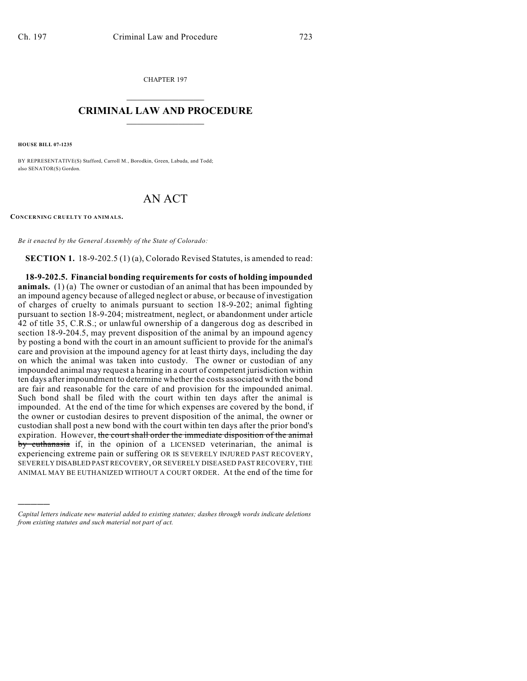CHAPTER 197  $\overline{\phantom{a}}$  . The set of the set of the set of the set of the set of the set of the set of the set of the set of the set of the set of the set of the set of the set of the set of the set of the set of the set of the set o

## **CRIMINAL LAW AND PROCEDURE**  $\frac{1}{2}$  ,  $\frac{1}{2}$  ,  $\frac{1}{2}$  ,  $\frac{1}{2}$  ,  $\frac{1}{2}$  ,  $\frac{1}{2}$  ,  $\frac{1}{2}$

**HOUSE BILL 07-1235**

)))))

BY REPRESENTATIVE(S) Stafford, Carroll M., Borodkin, Green, Labuda, and Todd; also SENATOR(S) Gordon.

## AN ACT

**CONCERNING CRUELTY TO ANIMALS.**

*Be it enacted by the General Assembly of the State of Colorado:*

**SECTION 1.** 18-9-202.5 (1) (a), Colorado Revised Statutes, is amended to read:

**18-9-202.5. Financial bonding requirements for costs of holding impounded animals.** (1) (a) The owner or custodian of an animal that has been impounded by an impound agency because of alleged neglect or abuse, or because of investigation of charges of cruelty to animals pursuant to section 18-9-202; animal fighting pursuant to section 18-9-204; mistreatment, neglect, or abandonment under article 42 of title 35, C.R.S.; or unlawful ownership of a dangerous dog as described in section 18-9-204.5, may prevent disposition of the animal by an impound agency by posting a bond with the court in an amount sufficient to provide for the animal's care and provision at the impound agency for at least thirty days, including the day on which the animal was taken into custody. The owner or custodian of any impounded animal may request a hearing in a court of competent jurisdiction within ten days after impoundment to determine whether the costs associated with the bond are fair and reasonable for the care of and provision for the impounded animal. Such bond shall be filed with the court within ten days after the animal is impounded. At the end of the time for which expenses are covered by the bond, if the owner or custodian desires to prevent disposition of the animal, the owner or custodian shall post a new bond with the court within ten days after the prior bond's expiration. However, the court shall order the immediate disposition of the animal by euthanasia if, in the opinion of a LICENSED veterinarian, the animal is experiencing extreme pain or suffering OR IS SEVERELY INJURED PAST RECOVERY, SEVERELY DISABLED PAST RECOVERY, OR SEVERELY DISEASED PAST RECOVERY, THE ANIMAL MAY BE EUTHANIZED WITHOUT A COURT ORDER. At the end of the time for

*Capital letters indicate new material added to existing statutes; dashes through words indicate deletions from existing statutes and such material not part of act.*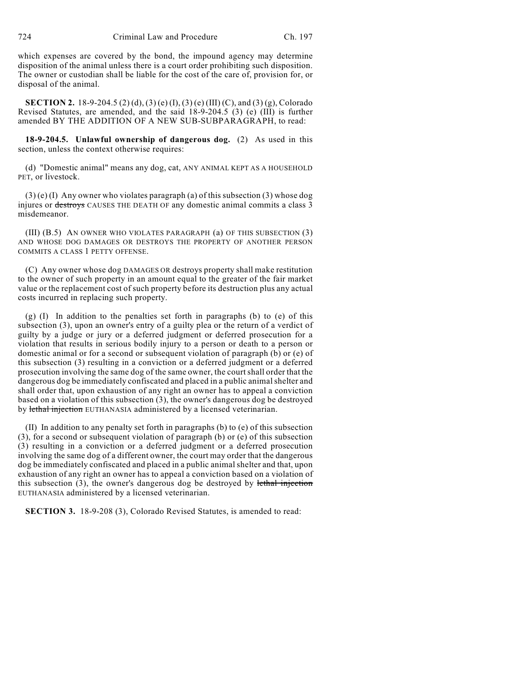which expenses are covered by the bond, the impound agency may determine disposition of the animal unless there is a court order prohibiting such disposition. The owner or custodian shall be liable for the cost of the care of, provision for, or disposal of the animal.

**SECTION 2.** 18-9-204.5 (2) (d), (3) (e) (I), (3) (e) (III) (C), and (3) (g), Colorado Revised Statutes, are amended, and the said 18-9-204.5 (3) (e) (III) is further amended BY THE ADDITION OF A NEW SUB-SUBPARAGRAPH, to read:

**18-9-204.5. Unlawful ownership of dangerous dog.** (2) As used in this section, unless the context otherwise requires:

(d) "Domestic animal" means any dog, cat, ANY ANIMAL KEPT AS A HOUSEHOLD PET, or livestock.

 $(3)$  (e) (I) Any owner who violates paragraph (a) of this subsection (3) whose dog injures or destroys CAUSES THE DEATH OF any domestic animal commits a class 3 misdemeanor.

(III) (B.5) AN OWNER WHO VIOLATES PARAGRAPH (a) OF THIS SUBSECTION (3) AND WHOSE DOG DAMAGES OR DESTROYS THE PROPERTY OF ANOTHER PERSON COMMITS A CLASS 1 PETTY OFFENSE.

(C) Any owner whose dog DAMAGES OR destroys property shall make restitution to the owner of such property in an amount equal to the greater of the fair market value or the replacement cost of such property before its destruction plus any actual costs incurred in replacing such property.

(g) (I) In addition to the penalties set forth in paragraphs (b) to (e) of this subsection (3), upon an owner's entry of a guilty plea or the return of a verdict of guilty by a judge or jury or a deferred judgment or deferred prosecution for a violation that results in serious bodily injury to a person or death to a person or domestic animal or for a second or subsequent violation of paragraph (b) or (e) of this subsection (3) resulting in a conviction or a deferred judgment or a deferred prosecution involving the same dog of the same owner, the court shall order that the dangerous dog be immediately confiscated and placed in a public animal shelter and shall order that, upon exhaustion of any right an owner has to appeal a conviction based on a violation of this subsection (3), the owner's dangerous dog be destroyed by lethal injection EUTHANASIA administered by a licensed veterinarian.

(II) In addition to any penalty set forth in paragraphs (b) to (e) of this subsection (3), for a second or subsequent violation of paragraph (b) or (e) of this subsection (3) resulting in a conviction or a deferred judgment or a deferred prosecution involving the same dog of a different owner, the court may order that the dangerous dog be immediately confiscated and placed in a public animal shelter and that, upon exhaustion of any right an owner has to appeal a conviction based on a violation of this subsection  $(3)$ , the owner's dangerous dog be destroyed by lethal injection EUTHANASIA administered by a licensed veterinarian.

**SECTION 3.** 18-9-208 (3), Colorado Revised Statutes, is amended to read: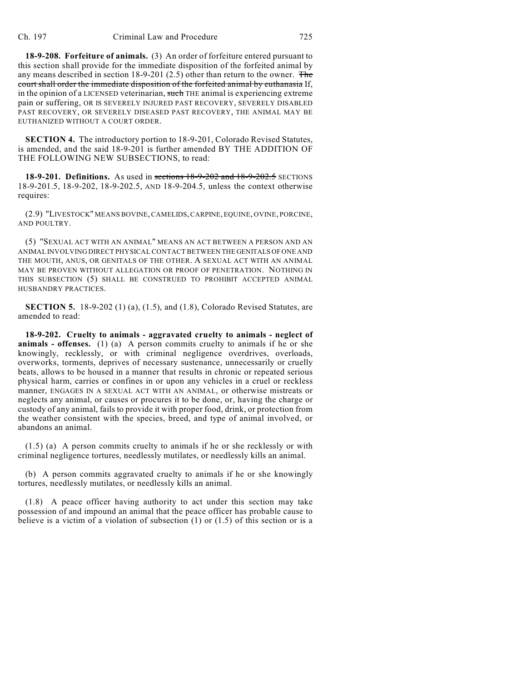**18-9-208. Forfeiture of animals.** (3) An order of forfeiture entered pursuant to this section shall provide for the immediate disposition of the forfeited animal by any means described in section  $18-9-201$  (2.5) other than return to the owner. The court shall order the immediate disposition of the forfeited animal by euthanasia If, in the opinion of a LICENSED veterinarian, such THE animal is experiencing extreme pain or suffering, OR IS SEVERELY INJURED PAST RECOVERY, SEVERELY DISABLED PAST RECOVERY, OR SEVERELY DISEASED PAST RECOVERY, THE ANIMAL MAY BE EUTHANIZED WITHOUT A COURT ORDER.

**SECTION 4.** The introductory portion to 18-9-201, Colorado Revised Statutes, is amended, and the said 18-9-201 is further amended BY THE ADDITION OF THE FOLLOWING NEW SUBSECTIONS, to read:

**18-9-201. Definitions.** As used in **sections 18-9-202 and 18-9-202.5** SECTIONS 18-9-201.5, 18-9-202, 18-9-202.5, AND 18-9-204.5, unless the context otherwise requires:

(2.9) "LIVESTOCK" MEANS BOVINE, CAMELIDS, CARPINE, EQUINE, OVINE, PORCINE, AND POULTRY.

(5) "SEXUAL ACT WITH AN ANIMAL" MEANS AN ACT BETWEEN A PERSON AND AN ANIMAL INVOLVING DIRECT PHYSICAL CONTACT BETWEEN THE GENITALS OF ONE AND THE MOUTH, ANUS, OR GENITALS OF THE OTHER. A SEXUAL ACT WITH AN ANIMAL MAY BE PROVEN WITHOUT ALLEGATION OR PROOF OF PENETRATION. NOTHING IN THIS SUBSECTION (5) SHALL BE CONSTRUED TO PROHIBIT ACCEPTED ANIMAL HUSBANDRY PRACTICES.

**SECTION 5.** 18-9-202 (1) (a), (1.5), and (1.8), Colorado Revised Statutes, are amended to read:

**18-9-202. Cruelty to animals - aggravated cruelty to animals - neglect of animals - offenses.** (1) (a) A person commits cruelty to animals if he or she knowingly, recklessly, or with criminal negligence overdrives, overloads, overworks, torments, deprives of necessary sustenance, unnecessarily or cruelly beats, allows to be housed in a manner that results in chronic or repeated serious physical harm, carries or confines in or upon any vehicles in a cruel or reckless manner, ENGAGES IN A SEXUAL ACT WITH AN ANIMAL, or otherwise mistreats or neglects any animal, or causes or procures it to be done, or, having the charge or custody of any animal, fails to provide it with proper food, drink, or protection from the weather consistent with the species, breed, and type of animal involved, or abandons an animal.

(1.5) (a) A person commits cruelty to animals if he or she recklessly or with criminal negligence tortures, needlessly mutilates, or needlessly kills an animal.

(b) A person commits aggravated cruelty to animals if he or she knowingly tortures, needlessly mutilates, or needlessly kills an animal.

(1.8) A peace officer having authority to act under this section may take possession of and impound an animal that the peace officer has probable cause to believe is a victim of a violation of subsection  $(1)$  or  $(1.5)$  of this section or is a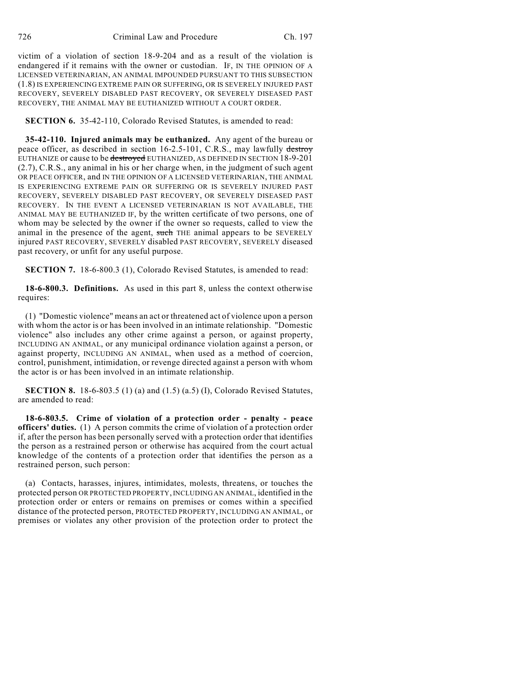victim of a violation of section 18-9-204 and as a result of the violation is endangered if it remains with the owner or custodian. IF, IN THE OPINION OF A LICENSED VETERINARIAN, AN ANIMAL IMPOUNDED PURSUANT TO THIS SUBSECTION (1.8) IS EXPERIENCING EXTREME PAIN OR SUFFERING, OR IS SEVERELY INJURED PAST RECOVERY, SEVERELY DISABLED PAST RECOVERY, OR SEVERELY DISEASED PAST RECOVERY, THE ANIMAL MAY BE EUTHANIZED WITHOUT A COURT ORDER.

**SECTION 6.** 35-42-110, Colorado Revised Statutes, is amended to read:

**35-42-110. Injured animals may be euthanized.** Any agent of the bureau or peace officer, as described in section 16-2.5-101, C.R.S., may lawfully destroy EUTHANIZE or cause to be destroyed EUTHANIZED, AS DEFINED IN SECTION 18-9-201 (2.7), C.R.S., any animal in his or her charge when, in the judgment of such agent OR PEACE OFFICER, and IN THE OPINION OF A LICENSED VETERINARIAN, THE ANIMAL IS EXPERIENCING EXTREME PAIN OR SUFFERING OR IS SEVERELY INJURED PAST RECOVERY, SEVERELY DISABLED PAST RECOVERY, OR SEVERELY DISEASED PAST RECOVERY. IN THE EVENT A LICENSED VETERINARIAN IS NOT AVAILABLE, THE ANIMAL MAY BE EUTHANIZED IF, by the written certificate of two persons, one of whom may be selected by the owner if the owner so requests, called to view the animal in the presence of the agent, such THE animal appears to be SEVERELY injured PAST RECOVERY, SEVERELY disabled PAST RECOVERY, SEVERELY diseased past recovery, or unfit for any useful purpose.

**SECTION 7.** 18-6-800.3 (1), Colorado Revised Statutes, is amended to read:

**18-6-800.3. Definitions.** As used in this part 8, unless the context otherwise requires:

(1) "Domestic violence" means an act or threatened act of violence upon a person with whom the actor is or has been involved in an intimate relationship. "Domestic violence" also includes any other crime against a person, or against property, INCLUDING AN ANIMAL, or any municipal ordinance violation against a person, or against property, INCLUDING AN ANIMAL, when used as a method of coercion, control, punishment, intimidation, or revenge directed against a person with whom the actor is or has been involved in an intimate relationship.

**SECTION 8.** 18-6-803.5 (1) (a) and (1.5) (a.5) (I), Colorado Revised Statutes, are amended to read:

**18-6-803.5. Crime of violation of a protection order - penalty - peace officers' duties.** (1) A person commits the crime of violation of a protection order if, after the person has been personally served with a protection order that identifies the person as a restrained person or otherwise has acquired from the court actual knowledge of the contents of a protection order that identifies the person as a restrained person, such person:

(a) Contacts, harasses, injures, intimidates, molests, threatens, or touches the protected person OR PROTECTED PROPERTY, INCLUDING AN ANIMAL, identified in the protection order or enters or remains on premises or comes within a specified distance of the protected person, PROTECTED PROPERTY, INCLUDING AN ANIMAL, or premises or violates any other provision of the protection order to protect the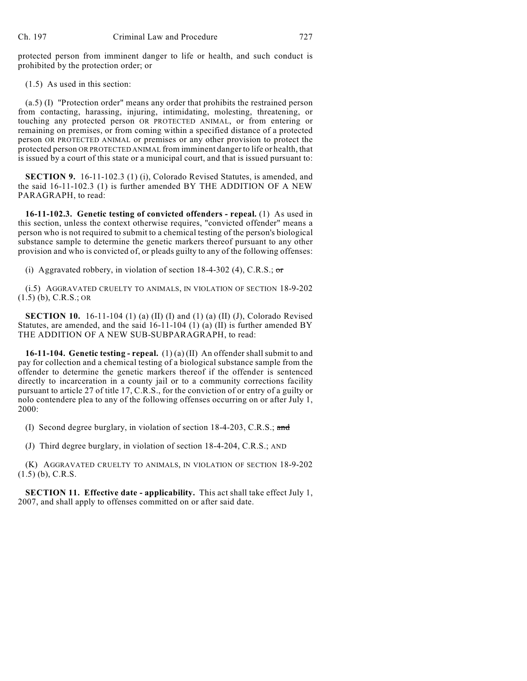protected person from imminent danger to life or health, and such conduct is prohibited by the protection order; or

(1.5) As used in this section:

(a.5) (I) "Protection order" means any order that prohibits the restrained person from contacting, harassing, injuring, intimidating, molesting, threatening, or touching any protected person OR PROTECTED ANIMAL, or from entering or remaining on premises, or from coming within a specified distance of a protected person OR PROTECTED ANIMAL or premises or any other provision to protect the protected person OR PROTECTED ANIMAL from imminent danger to life or health, that is issued by a court of this state or a municipal court, and that is issued pursuant to:

**SECTION 9.** 16-11-102.3 (1) (i), Colorado Revised Statutes, is amended, and the said 16-11-102.3 (1) is further amended BY THE ADDITION OF A NEW PARAGRAPH, to read:

**16-11-102.3. Genetic testing of convicted offenders - repeal.** (1) As used in this section, unless the context otherwise requires, "convicted offender" means a person who is not required to submit to a chemical testing of the person's biological substance sample to determine the genetic markers thereof pursuant to any other provision and who is convicted of, or pleads guilty to any of the following offenses:

(i) Aggravated robbery, in violation of section  $18-4-302$  (4), C.R.S.; or

(i.5) AGGRAVATED CRUELTY TO ANIMALS, IN VIOLATION OF SECTION 18-9-202 (1.5) (b), C.R.S.; OR

**SECTION 10.** 16-11-104 (1) (a) (II) (I) and (1) (a) (II) (J), Colorado Revised Statutes, are amended, and the said 16-11-104 (1) (a) (II) is further amended BY THE ADDITION OF A NEW SUB-SUBPARAGRAPH, to read:

**16-11-104. Genetic testing - repeal.** (1) (a) (II) An offender shall submit to and pay for collection and a chemical testing of a biological substance sample from the offender to determine the genetic markers thereof if the offender is sentenced directly to incarceration in a county jail or to a community corrections facility pursuant to article 27 of title 17, C.R.S., for the conviction of or entry of a guilty or nolo contendere plea to any of the following offenses occurring on or after July 1, 2000:

(I) Second degree burglary, in violation of section 18-4-203, C.R.S.; and

(J) Third degree burglary, in violation of section 18-4-204, C.R.S.; AND

(K) AGGRAVATED CRUELTY TO ANIMALS, IN VIOLATION OF SECTION 18-9-202  $(1.5)$  (b), C.R.S.

**SECTION 11. Effective date - applicability.** This act shall take effect July 1, 2007, and shall apply to offenses committed on or after said date.